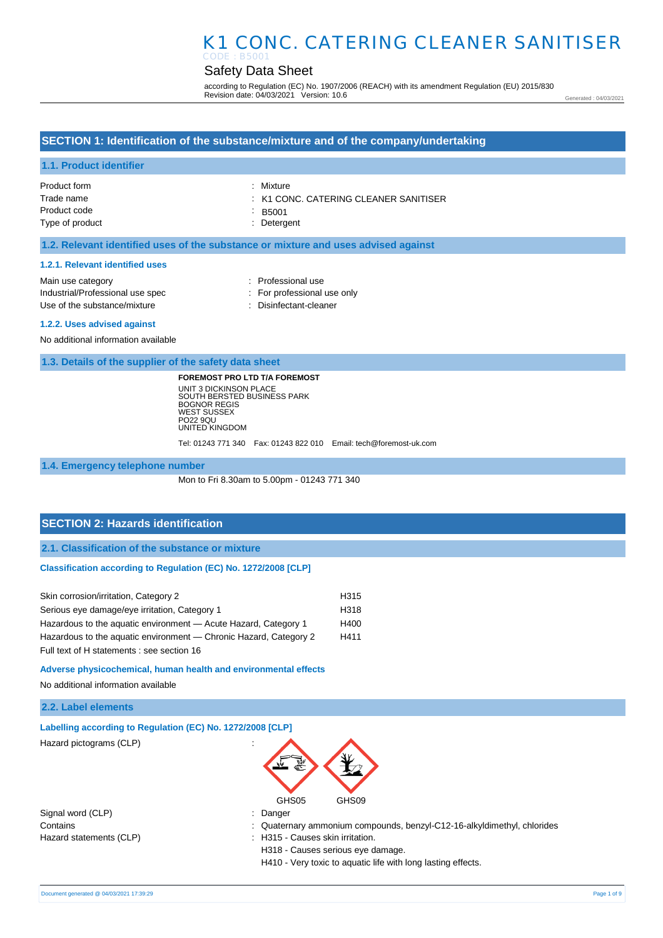# Safety Data Sheet

according to Regulation (EC) No. 1907/2006 (REACH) with its amendment Regulation (EU) 2015/830 Revision date: 04/03/2021 Version: 10.6

Generated : 04/03/2021

## **SECTION 1: Identification of the substance/mixture and of the company/undertaking**

### **1.1. Product identifier**

| Product form    | : Mixture                                        |
|-----------------|--------------------------------------------------|
| Trade name      | $\therefore$ K1 CONC. CATERING CLEANER SANITISER |
| Product code    | B5001                                            |
| Type of product | : Detergent                                      |

## **1.2. Relevant identified uses of the substance or mixture and uses advised against**

#### **1.2.1. Relevant identified uses**

| Main use category                |  |
|----------------------------------|--|
| Industrial/Professional use spec |  |
| Use of the substance/mixture     |  |

- : Professional use
- : For professional use only
- : Disinfectant-cleaner

#### **1.2.2. Uses advised against**

No additional information available

**1.3. Details of the supplier of the safety data sheet**

**FOREMOST PRO LTD T/A FOREMOST** UNIT 3 DICKINSON PLACE SOUTH BERSTED BUSINESS PARK BOGNOR REGIS WEST SUSSEX PO22 9QU UNITED KINGDOM

Tel: 01243 771 340 Fax: 01243 822 010 Email: tech@foremost-uk.com

#### **1.4. Emergency telephone number**

Mon to Fri 8.30am to 5.00pm - 01243 771 340

## **SECTION 2: Hazards identification**

**2.1. Classification of the substance or mixture**

#### **Classification according to Regulation (EC) No. 1272/2008 [CLP]**

| Skin corrosion/irritation, Category 2                             | H315 |
|-------------------------------------------------------------------|------|
| Serious eye damage/eye irritation, Category 1                     | H318 |
| Hazardous to the aquatic environment - Acute Hazard, Category 1   | H400 |
| Hazardous to the aquatic environment — Chronic Hazard, Category 2 | H411 |
| Full text of H statements : see section 16                        |      |

**Adverse physicochemical, human health and environmental effects** 

No additional information available

### **2.2. Label elements**

| Labelling according to Regulation (EC) No. 1272/2008 [CLP] |                                                                         |
|------------------------------------------------------------|-------------------------------------------------------------------------|
| Hazard pictograms (CLP)                                    | GHS05<br>GHS09                                                          |
| Signal word (CLP)                                          | $:$ Danger                                                              |
| Contains                                                   | : Quaternary ammonium compounds, benzyl-C12-16-alkyldimethyl, chlorides |
| Hazard statements (CLP)                                    | : H315 - Causes skin irritation.                                        |
|                                                            | H318 - Causes serious eye damage.                                       |
|                                                            | H410 - Very toxic to aquatic life with long lasting effects.            |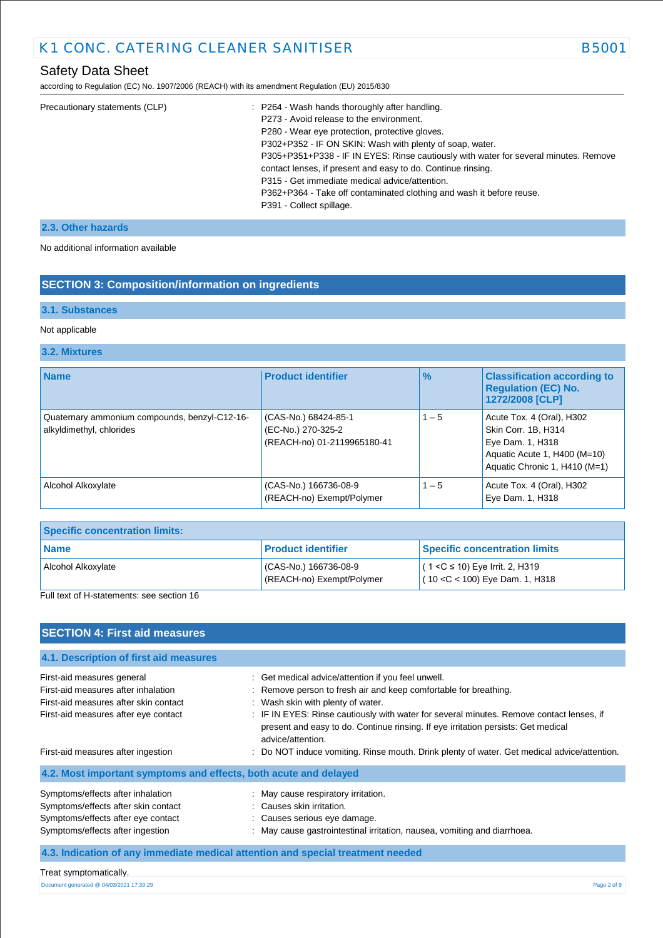according to Regulation (EC) No. 1907/2006 (REACH) with its amendment Regulation (EU) 2015/830

| Precautionary statements (CLP) | : P264 - Wash hands thoroughly after handling.                                       |
|--------------------------------|--------------------------------------------------------------------------------------|
|                                | P273 - Avoid release to the environment.                                             |
|                                | P280 - Wear eye protection, protective gloves.                                       |
|                                | P302+P352 - IF ON SKIN: Wash with plenty of soap, water.                             |
|                                | P305+P351+P338 - IF IN EYES: Rinse cautiously with water for several minutes. Remove |
|                                | contact lenses, if present and easy to do. Continue rinsing.                         |
|                                | P315 - Get immediate medical advice/attention.                                       |
|                                | P362+P364 - Take off contaminated clothing and wash it before reuse.                 |
|                                | P391 - Collect spillage.                                                             |

# **2.3. Other hazards**

No additional information available

# **SECTION 3: Composition/information on ingredients**

## **3.1. Substances**

## Not applicable

## **3.2. Mixtures**

| <b>Name</b>                                                               | <b>Product identifier</b>                                                 | $\frac{9}{6}$ | <b>Classification according to</b><br><b>Requlation (EC) No.</b><br>1272/2008 [CLP]                                                   |
|---------------------------------------------------------------------------|---------------------------------------------------------------------------|---------------|---------------------------------------------------------------------------------------------------------------------------------------|
| Quaternary ammonium compounds, benzyl-C12-16-<br>alkyldimethyl, chlorides | (CAS-No.) 68424-85-1<br>(EC-No.) 270-325-2<br>(REACH-no) 01-2119965180-41 | $1 - 5$       | Acute Tox. 4 (Oral), H302<br>Skin Corr. 1B, H314<br>Eye Dam. 1, H318<br>Aquatic Acute 1, H400 (M=10)<br>Aquatic Chronic 1, H410 (M=1) |
| Alcohol Alkoxylate                                                        | (CAS-No.) 166736-08-9<br>(REACH-no) Exempt/Polymer                        | $1 - 5$       | Acute Tox. 4 (Oral), H302<br>Eye Dam. 1, H318                                                                                         |

| <b>Specific concentration limits:</b> |                                                    |                                                                        |
|---------------------------------------|----------------------------------------------------|------------------------------------------------------------------------|
| l Name                                | <b>Product identifier</b>                          | <b>Specific concentration limits</b>                                   |
| Alcohol Alkoxylate                    | (CAS-No.) 166736-08-9<br>(REACH-no) Exempt/Polymer | $(1 < C$ ≤ 10) Eye Irrit. 2, H319<br>$(10 < C < 100)$ Eye Dam. 1, H318 |

Full text of H-statements: see section 16

| <b>SECTION 4: First aid measures</b>                                            |                                                                                                                                                                                                    |
|---------------------------------------------------------------------------------|----------------------------------------------------------------------------------------------------------------------------------------------------------------------------------------------------|
| 4.1. Description of first aid measures                                          |                                                                                                                                                                                                    |
| First-aid measures general                                                      | : Get medical advice/attention if you feel unwell.                                                                                                                                                 |
| First-aid measures after inhalation                                             | : Remove person to fresh air and keep comfortable for breathing.                                                                                                                                   |
| First-aid measures after skin contact                                           | : Wash skin with plenty of water.                                                                                                                                                                  |
| First-aid measures after eye contact                                            | : IF IN EYES: Rinse cautiously with water for several minutes. Remove contact lenses, if<br>present and easy to do. Continue rinsing. If eye irritation persists: Get medical<br>advice/attention. |
| First-aid measures after ingestion                                              | : Do NOT induce vomiting. Rinse mouth. Drink plenty of water. Get medical advice/attention.                                                                                                        |
| 4.2. Most important symptoms and effects, both acute and delayed                |                                                                                                                                                                                                    |
| Symptoms/effects after inhalation                                               | : May cause respiratory irritation.                                                                                                                                                                |
| Symptoms/effects after skin contact                                             | : Causes skin irritation.                                                                                                                                                                          |
| Symptoms/effects after eye contact                                              | : Causes serious eye damage.                                                                                                                                                                       |
| Symptoms/effects after ingestion                                                | : May cause gastrointestinal irritation, nausea, vomiting and diarrhoea.                                                                                                                           |
| 4.3. Indication of any immediate medical attention and special treatment needed |                                                                                                                                                                                                    |

#### Treat symptomatically.

Document generated @ 04/03/2021 17:39:29 Page 2 of 9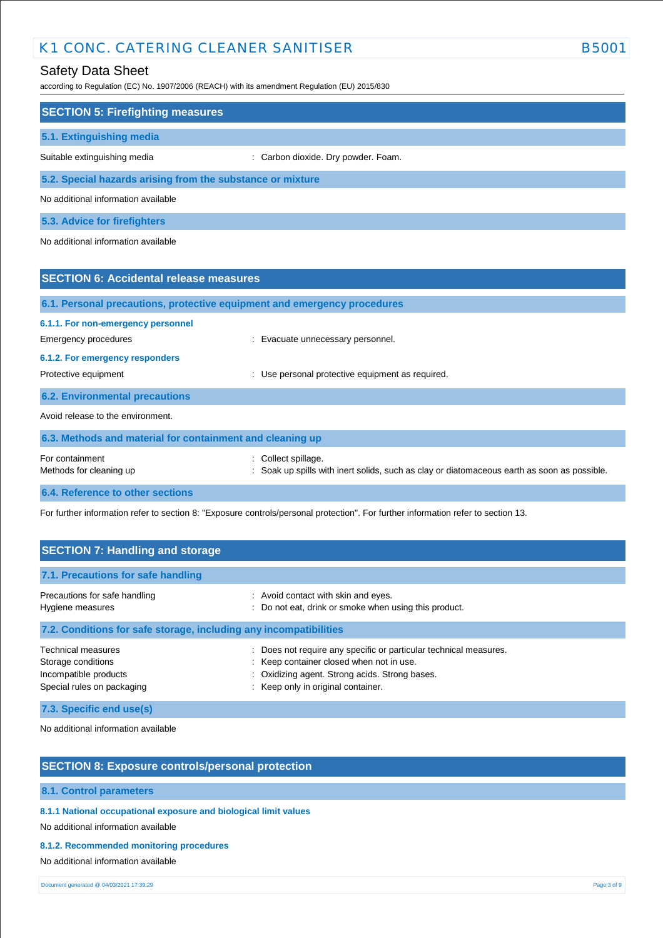# Safety Data Sheet

according to Regulation (EC) No. 1907/2006 (REACH) with its amendment Regulation (EU) 2015/830

| according to Regulation (EC) No. 1907/2006 (REACH) with its amendment Regulation (EU) 2015/830 |                                                                                                                  |  |  |
|------------------------------------------------------------------------------------------------|------------------------------------------------------------------------------------------------------------------|--|--|
| <b>SECTION 5: Firefighting measures</b>                                                        |                                                                                                                  |  |  |
| 5.1. Extinguishing media                                                                       |                                                                                                                  |  |  |
| Suitable extinguishing media                                                                   | : Carbon dioxide. Dry powder. Foam.                                                                              |  |  |
| 5.2. Special hazards arising from the substance or mixture                                     |                                                                                                                  |  |  |
| No additional information available                                                            |                                                                                                                  |  |  |
| 5.3. Advice for firefighters                                                                   |                                                                                                                  |  |  |
| No additional information available                                                            |                                                                                                                  |  |  |
|                                                                                                |                                                                                                                  |  |  |
| <b>SECTION 6: Accidental release measures</b>                                                  |                                                                                                                  |  |  |
| 6.1. Personal precautions, protective equipment and emergency procedures                       |                                                                                                                  |  |  |
| 6.1.1. For non-emergency personnel                                                             |                                                                                                                  |  |  |
| Emergency procedures                                                                           | : Evacuate unnecessary personnel.                                                                                |  |  |
| 6.1.2. For emergency responders                                                                |                                                                                                                  |  |  |
| Protective equipment                                                                           | Use personal protective equipment as required.                                                                   |  |  |
| <b>6.2. Environmental precautions</b>                                                          |                                                                                                                  |  |  |
| Avoid release to the environment.                                                              |                                                                                                                  |  |  |
| 6.3. Methods and material for containment and cleaning up                                      |                                                                                                                  |  |  |
| For containment<br>Methods for cleaning up                                                     | : Collect spillage.<br>Soak up spills with inert solids, such as clay or diatomaceous earth as soon as possible. |  |  |

**6.4. Reference to other sections**

For further information refer to section 8: "Exposure controls/personal protection". For further information refer to section 13.

| <b>SECTION 7: Handling and storage</b>                                                                                 |                                                                                                                                                                                                     |  |  |
|------------------------------------------------------------------------------------------------------------------------|-----------------------------------------------------------------------------------------------------------------------------------------------------------------------------------------------------|--|--|
| 7.1. Precautions for safe handling                                                                                     |                                                                                                                                                                                                     |  |  |
| Precautions for safe handling<br>Hygiene measures<br>7.2. Conditions for safe storage, including any incompatibilities | : Avoid contact with skin and eyes.<br>: Do not eat, drink or smoke when using this product.                                                                                                        |  |  |
| <b>Technical measures</b><br>Storage conditions<br>Incompatible products<br>Special rules on packaging                 | : Does not require any specific or particular technical measures.<br>: Keep container closed when not in use.<br>Oxidizing agent. Strong acids. Strong bases.<br>: Keep only in original container. |  |  |

**7.3. Specific end use(s)**

No additional information available

# **SECTION 8: Exposure controls/personal protection**

## **8.1. Control parameters**

**8.1.1 National occupational exposure and biological limit values** 

No additional information available

## **8.1.2. Recommended monitoring procedures**

No additional information available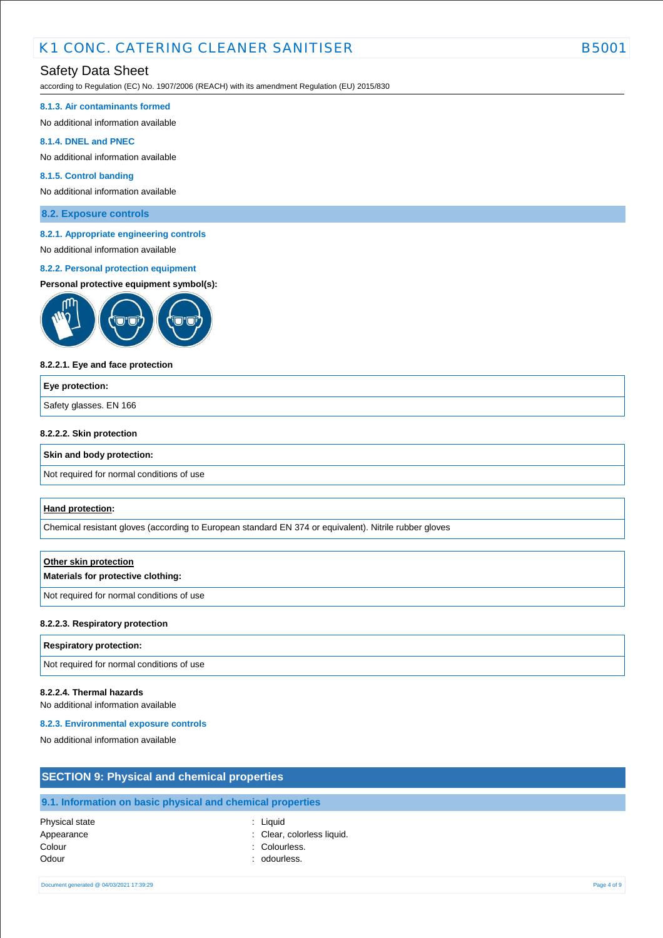# Safety Data Sheet

according to Regulation (EC) No. 1907/2006 (REACH) with its amendment Regulation (EU) 2015/830

#### **8.1.3. Air contaminants formed**

No additional information available

#### **8.1.4. DNEL and PNEC**

No additional information available

#### **8.1.5. Control banding**

No additional information available

**8.2. Exposure controls**

#### **8.2.1. Appropriate engineering controls**

# No additional information available

#### **8.2.2. Personal protection equipment**

#### **Personal protective equipment symbol(s):**



#### **8.2.2.1. Eye and face protection**

# **Eye protection:** Safety glasses. EN 166

### **8.2.2.2. Skin protection**

#### **Skin and body protection:**

Not required for normal conditions of use

#### **Hand protection:**

Chemical resistant gloves (according to European standard EN 374 or equivalent). Nitrile rubber gloves

# **Other skin protection Materials for protective clothing:**

Not required for normal conditions of use

#### **8.2.2.3. Respiratory protection**

#### **Respiratory protection:**

Not required for normal conditions of use

### **8.2.2.4. Thermal hazards**

No additional information available

#### **8.2.3. Environmental exposure controls**

No additional information available

# **SECTION 9: Physical and chemical properties 9.1. Information on basic physical and chemical properties** Physical state : Liquid

Appearance : Clear, colorless liquid. Colour : Colourless. Odour : odourless.

- 
- -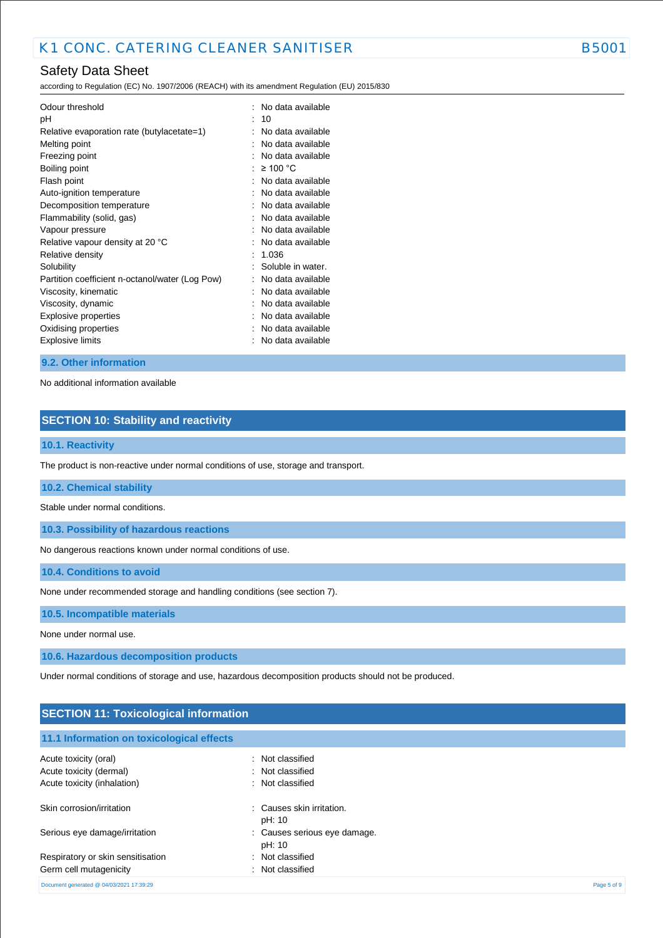# Safety Data Sheet

according to Regulation (EC) No. 1907/2006 (REACH) with its amendment Regulation (EU) 2015/830

| Odour threshold<br>рH<br>Relative evaporation rate (butylacetate=1)<br>Melting point<br>Freezing point<br>Boiling point<br>Flash point<br>Auto-ignition temperature<br>Decomposition temperature<br>Flammability (solid, gas)<br>Vapour pressure<br>Relative vapour density at 20 °C<br>Relative density<br>Solubility<br>Partition coefficient n-octanol/water (Log Pow)<br>Viscosity, kinematic<br>Viscosity, dynamic | $\ddot{\phantom{a}}$ | No data available<br>10<br>No data available<br>No data available<br>No data available<br>$\geq$ 100 °C<br>No data available<br>No data available<br>No data available<br>No data available<br>No data available<br>No data available<br>1.036<br>Soluble in water.<br>No data available<br>No data available<br>No data available |
|-------------------------------------------------------------------------------------------------------------------------------------------------------------------------------------------------------------------------------------------------------------------------------------------------------------------------------------------------------------------------------------------------------------------------|----------------------|------------------------------------------------------------------------------------------------------------------------------------------------------------------------------------------------------------------------------------------------------------------------------------------------------------------------------------|
|                                                                                                                                                                                                                                                                                                                                                                                                                         |                      |                                                                                                                                                                                                                                                                                                                                    |
| Explosive properties                                                                                                                                                                                                                                                                                                                                                                                                    |                      | No data available                                                                                                                                                                                                                                                                                                                  |
| Oxidising properties                                                                                                                                                                                                                                                                                                                                                                                                    |                      | No data available                                                                                                                                                                                                                                                                                                                  |
| <b>Explosive limits</b>                                                                                                                                                                                                                                                                                                                                                                                                 |                      | No data available                                                                                                                                                                                                                                                                                                                  |

#### **9.2. Other information**

No additional information available

# **SECTION 10: Stability and reactivity**

## **10.1. Reactivity**

The product is non-reactive under normal conditions of use, storage and transport.

#### **10.2. Chemical stability**

Stable under normal conditions.

**10.3. Possibility of hazardous reactions**

No dangerous reactions known under normal conditions of use.

**10.4. Conditions to avoid**

None under recommended storage and handling conditions (see section 7).

**10.5. Incompatible materials**

None under normal use.

**10.6. Hazardous decomposition products**

Under normal conditions of storage and use, hazardous decomposition products should not be produced.

| <b>SECTION 11: Toxicological information</b> |                              |             |
|----------------------------------------------|------------------------------|-------------|
|                                              |                              |             |
| 11.1 Information on toxicological effects    |                              |             |
| Acute toxicity (oral)                        | : Not classified             |             |
| Acute toxicity (dermal)                      | : Not classified             |             |
| Acute toxicity (inhalation)                  | : Not classified             |             |
| Skin corrosion/irritation                    | : Causes skin irritation.    |             |
|                                              | pH: 10                       |             |
| Serious eye damage/irritation                | : Causes serious eye damage. |             |
|                                              | pH: 10                       |             |
| Respiratory or skin sensitisation            | : Not classified             |             |
| Germ cell mutagenicity                       | : Not classified             |             |
| Document generated @ 04/03/2021 17:39:29     |                              | Page 5 of 9 |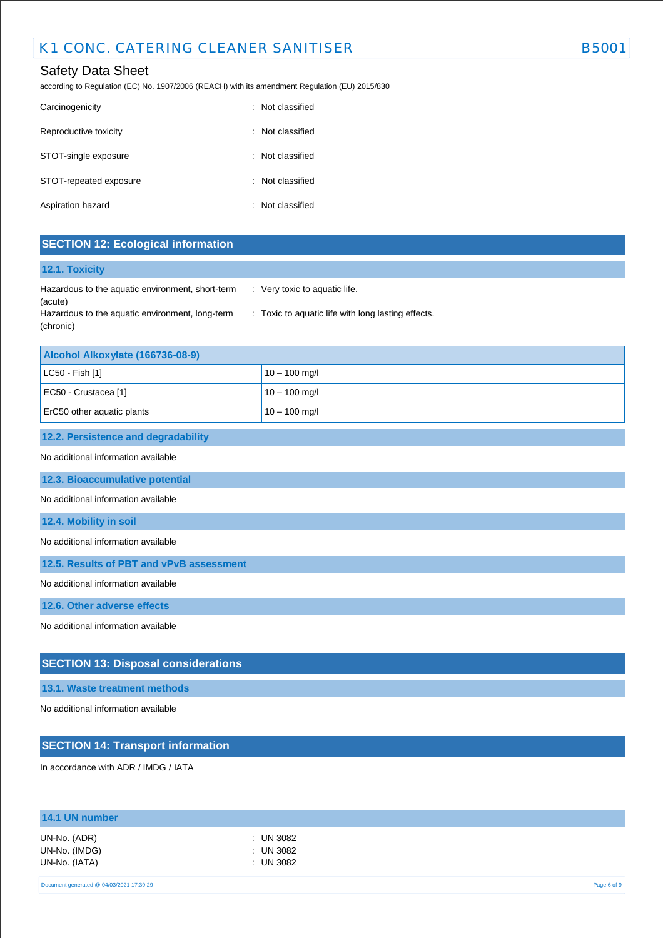# Safety Data Sheet

according to Regulation (EC) No. 1907/2006 (REACH) with its amendment Regulation (EU) 2015/830

| Carcinogenicity        | : Not classified |
|------------------------|------------------|
| Reproductive toxicity  | : Not classified |
| STOT-single exposure   | : Not classified |
| STOT-repeated exposure | : Not classified |
| Aspiration hazard      | : Not classified |

# **SECTION 12: Ecological information**

## **12.1. Toxicity**

| Hazardous to the aquatic environment, short-term | Very toxic to aquatic life.       |
|--------------------------------------------------|-----------------------------------|
| (acute)                                          |                                   |
| Hazardous to the aquatic environment, long-term  | : Toxic to aquatic life with long |
| (chronic)                                        |                                   |

| Alcohol Alkoxylate (166736-08-9) |                 |  |
|----------------------------------|-----------------|--|
| $ $ LC50 - Fish [1]              | $10 - 100$ mg/l |  |
| EC50 - Crustacea [1]             | $10 - 100$ mg/l |  |
| ErC50 other aquatic plants       | $10 - 100$ mg/l |  |

lasting effects.

#### **12.2. Persistence and degradability**

### No additional information available

**12.3. Bioaccumulative potential**

#### No additional information available

#### **12.4. Mobility in soil**

No additional information available

**12.5. Results of PBT and vPvB assessment**

No additional information available

**12.6. Other adverse effects**

No additional information available

## **SECTION 13: Disposal considerations**

## **13.1. Waste treatment methods**

No additional information available

## **SECTION 14: Transport information**

In accordance with ADR / IMDG / IATA

| 14.1 UN number                                 |                                       |  |
|------------------------------------------------|---------------------------------------|--|
| UN-No. (ADR)<br>UN-No. (IMDG)<br>UN-No. (IATA) | : UN 3082<br>$:$ UN 3082<br>: UN 3082 |  |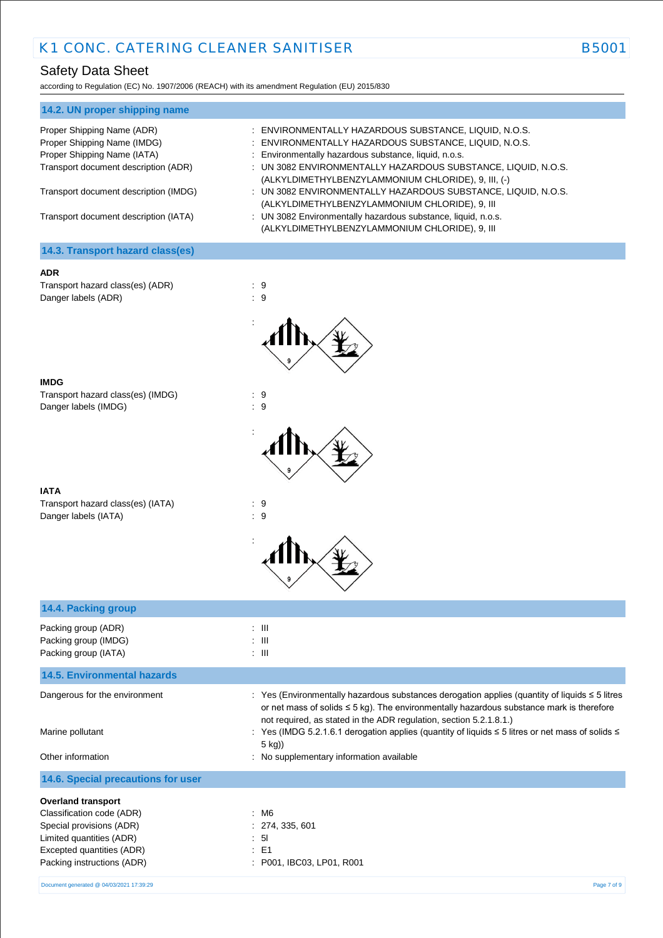# Safety Data Sheet

according to Regulation (EC) No. 1907/2006 (REACH) with its amendment Regulation (EU) 2015/830

| 14.2. UN proper shipping name         |                                                                                                                      |
|---------------------------------------|----------------------------------------------------------------------------------------------------------------------|
| Proper Shipping Name (ADR)            | : ENVIRONMENTALLY HAZARDOUS SUBSTANCE, LIQUID, N.O.S.                                                                |
| Proper Shipping Name (IMDG)           | : ENVIRONMENTALLY HAZARDOUS SUBSTANCE, LIQUID, N.O.S.                                                                |
| Proper Shipping Name (IATA)           | : Environmentally hazardous substance, liquid, n.o.s.                                                                |
| Transport document description (ADR)  | : UN 3082 ENVIRONMENTALLY HAZARDOUS SUBSTANCE, LIQUID, N.O.S.<br>(ALKYLDIMETHYLBENZYLAMMONIUM CHLORIDE), 9, III, (-) |
| Transport document description (IMDG) | : UN 3082 ENVIRONMENTALLY HAZARDOUS SUBSTANCE, LIQUID, N.O.S.<br>(ALKYLDIMETHYLBENZYLAMMONIUM CHLORIDE), 9, III      |
| Transport document description (IATA) | : UN 3082 Environmentally hazardous substance, liquid, n.o.s.<br>(ALKYLDIMETHYLBENZYLAMMONIUM CHLORIDE), 9, III      |
| 14.3. Transport hazard class(es)      |                                                                                                                      |

## **ADR**

Transport hazard class(es) (ADR) : 9 Danger labels (ADR) : 9



:

| <b>IMDG</b>                       |     |
|-----------------------------------|-----|
| Transport hazard class(es) (IMDG) | : 9 |
| Danger labels (IMDG)              | : 9 |

| <b>IATA</b>                       |     |
|-----------------------------------|-----|
| Transport hazard class(es) (IATA) | : 9 |
| Danger labels (IATA)              | : 9 |



| 14.4. Packing group                      |                                                                                                                                                                                                                                                                            |
|------------------------------------------|----------------------------------------------------------------------------------------------------------------------------------------------------------------------------------------------------------------------------------------------------------------------------|
| Packing group (ADR)                      | $\therefore$ $\blacksquare$                                                                                                                                                                                                                                                |
| Packing group (IMDG)                     | $\pm$ 111                                                                                                                                                                                                                                                                  |
| Packing group (IATA)                     | : III                                                                                                                                                                                                                                                                      |
| <b>14.5. Environmental hazards</b>       |                                                                                                                                                                                                                                                                            |
| Dangerous for the environment            | : Yes (Environmentally hazardous substances derogation applies (quantity of liquids $\leq$ 5 litres<br>or net mass of solids $\leq$ 5 kg). The environmentally hazardous substance mark is therefore<br>not required, as stated in the ADR regulation, section 5.2.1.8.1.) |
| Marine pollutant                         | : Yes (IMDG 5.2.1.6.1 derogation applies (quantity of liquids ≤ 5 litres or net mass of solids ≤<br>5 kg))                                                                                                                                                                 |
| Other information                        | : No supplementary information available                                                                                                                                                                                                                                   |
| 14.6. Special precautions for user       |                                                                                                                                                                                                                                                                            |
| <b>Overland transport</b>                |                                                                                                                                                                                                                                                                            |
| Classification code (ADR)                | : M6                                                                                                                                                                                                                                                                       |
| Special provisions (ADR)                 | : 274, 335, 601                                                                                                                                                                                                                                                            |
| Limited quantities (ADR)                 | : 51                                                                                                                                                                                                                                                                       |
| Excepted quantities (ADR)                | $E = 51$                                                                                                                                                                                                                                                                   |
| Packing instructions (ADR)               | : P001, IBC03, LP01, R001                                                                                                                                                                                                                                                  |
| Document generated @ 04/03/2021 17:39:29 | Page 7 of 9                                                                                                                                                                                                                                                                |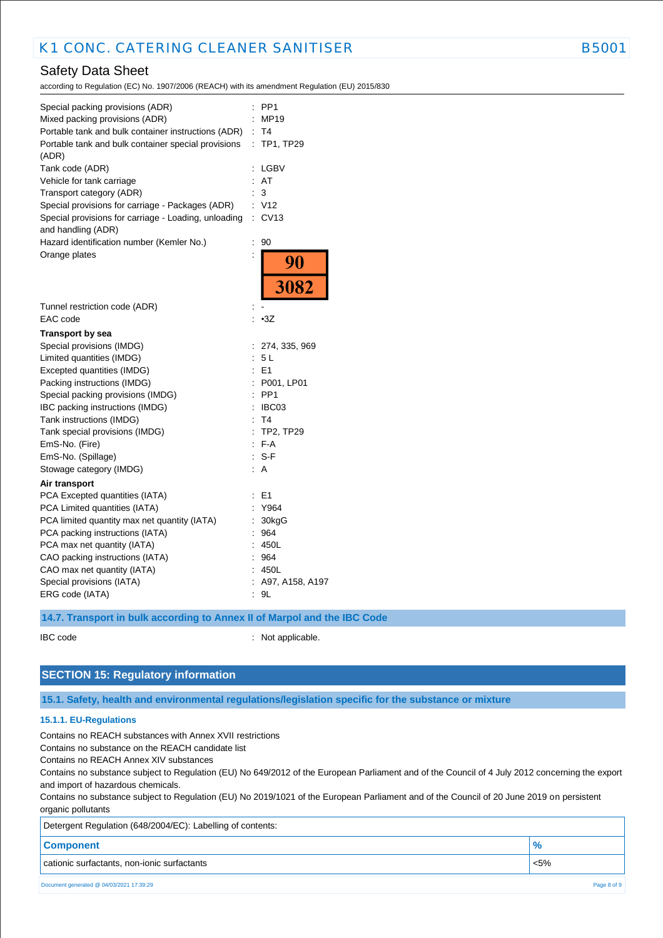# Safety Data Sheet

according to Regulation (EC) No. 1907/2006 (REACH) with its amendment Regulation (EU) 2015/830

| Special packing provisions (ADR)<br>Mixed packing provisions (ADR)<br>Portable tank and bulk container instructions (ADR)<br>Portable tank and bulk container special provisions<br>(ADR) | $\ddot{\phantom{a}}$<br>İ. | PP <sub>1</sub><br>MP19<br>: T4<br>: TP1, TP29 |
|-------------------------------------------------------------------------------------------------------------------------------------------------------------------------------------------|----------------------------|------------------------------------------------|
| Tank code (ADR)                                                                                                                                                                           | $\ddot{\cdot}$             | LGBV                                           |
| Vehicle for tank carriage                                                                                                                                                                 | ÷                          | AT                                             |
| Transport category (ADR)                                                                                                                                                                  |                            | 3                                              |
| Special provisions for carriage - Packages (ADR)                                                                                                                                          |                            | V <sub>12</sub>                                |
| Special provisions for carriage - Loading, unloading<br>and handling (ADR)                                                                                                                | ÷.                         | CV13                                           |
| Hazard identification number (Kemler No.)                                                                                                                                                 | $\ddot{\phantom{a}}$       | 90                                             |
| Orange plates                                                                                                                                                                             |                            | 90                                             |
|                                                                                                                                                                                           |                            | 3082                                           |
| Tunnel restriction code (ADR)                                                                                                                                                             |                            |                                                |
| EAC code                                                                                                                                                                                  |                            | $-3Z$                                          |
| <b>Transport by sea</b>                                                                                                                                                                   |                            |                                                |
| Special provisions (IMDG)                                                                                                                                                                 |                            | : 274, 335, 969                                |
| Limited quantities (IMDG)                                                                                                                                                                 | t.                         | 5L                                             |
| Excepted quantities (IMDG)                                                                                                                                                                | ÷.                         | E <sub>1</sub>                                 |
| Packing instructions (IMDG)                                                                                                                                                               | t.                         | P001, LP01                                     |
| Special packing provisions (IMDG)                                                                                                                                                         | ÷                          | PP <sub>1</sub>                                |
| IBC packing instructions (IMDG)                                                                                                                                                           | $\ddot{\phantom{a}}$       | IBC03                                          |
| Tank instructions (IMDG)                                                                                                                                                                  | Ì.                         | T <sub>4</sub>                                 |
| Tank special provisions (IMDG)                                                                                                                                                            | Ì.                         | <b>TP2, TP29</b>                               |
| EmS-No. (Fire)                                                                                                                                                                            | ÷.                         | F-A                                            |
| EmS-No. (Spillage)                                                                                                                                                                        | t.                         | S-F                                            |
| Stowage category (IMDG)                                                                                                                                                                   |                            | A                                              |
| Air transport                                                                                                                                                                             |                            |                                                |
| PCA Excepted quantities (IATA)                                                                                                                                                            |                            | E <sub>1</sub>                                 |
| PCA Limited quantities (IATA)                                                                                                                                                             |                            | Y964                                           |
| PCA limited quantity max net quantity (IATA)                                                                                                                                              | ÷                          | 30kgG                                          |
| PCA packing instructions (IATA)                                                                                                                                                           |                            | 964                                            |
| PCA max net quantity (IATA)                                                                                                                                                               |                            | 450L                                           |
| CAO packing instructions (IATA)                                                                                                                                                           | ÷.                         | 964                                            |
| CAO max net quantity (IATA)                                                                                                                                                               |                            | 450L                                           |
| Special provisions (IATA)                                                                                                                                                                 |                            | : A97, A158, A197                              |
| ERG code (IATA)                                                                                                                                                                           | ÷                          | 9L                                             |
|                                                                                                                                                                                           |                            |                                                |

**14.7. Transport in bulk according to Annex II of Marpol and the IBC Code**

IBC code : Not applicable.

# **SECTION 15: Regulatory information**

## **15.1. Safety, health and environmental regulations/legislation specific for the substance or mixture**

#### **15.1.1. EU-Regulations**

Contains no REACH substances with Annex XVII restrictions

Contains no substance on the REACH candidate list

Contains no REACH Annex XIV substances

Contains no substance subject to Regulation (EU) No 649/2012 of the European Parliament and of the Council of 4 July 2012 concerning the export and import of hazardous chemicals.

Contains no substance subject to Regulation (EU) No 2019/1021 of the European Parliament and of the Council of 20 June 2019 on persistent organic pollutants

| Detergent Regulation (648/2004/EC): Labelling of contents: |               |
|------------------------------------------------------------|---------------|
| <b>Component</b>                                           | $\frac{9}{6}$ |
| cationic surfactants, non-ionic surfactants                | $< 5\%$       |
| Document generated @ 04/03/2021 17:39:29                   | Page 8 of 9   |